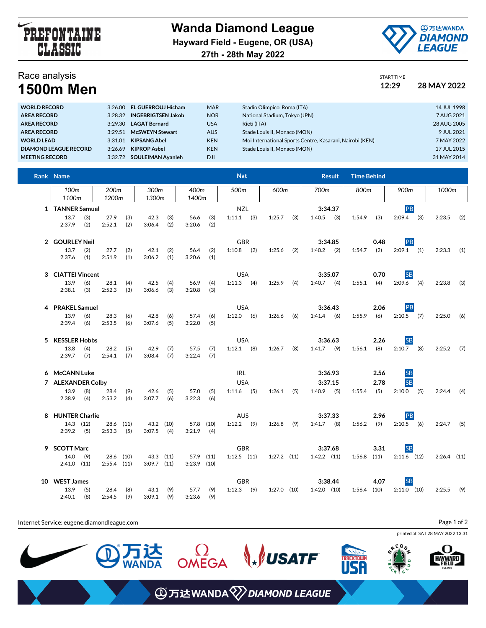

**Wanda Diamond League Hayward Field - Eugene, OR (USA) 27th - 28th May 2022**



## Race analysis

| Race analysis    | START TIME |             |
|------------------|------------|-------------|
| <b>1500m Men</b> | 12:29      | 28 MAY 2022 |

| <b>WORLD RECORD</b>          |         | 3:26.00 EL GUERROUJ Hicham | <b>MAR</b> | Stadio Olimpico, Roma (ITA)                              | 14 JUL 1998 |
|------------------------------|---------|----------------------------|------------|----------------------------------------------------------|-------------|
| <b>AREA RECORD</b>           | 3:28.32 | <b>INGEBRIGTSEN Jakob</b>  | <b>NOR</b> | National Stadium, Tokyo (JPN)                            | 7 AUG 2021  |
| <b>AREA RECORD</b>           | 3:29.30 | <b>LAGAT Bernard</b>       | <b>USA</b> | Rieti (ITA)                                              | 28 AUG 2005 |
| <b>AREA RECORD</b>           |         | 3:29.51 McSWEYN Stewart    | <b>AUS</b> | Stade Louis II. Monaco (MON)                             | 9 JUL 2021  |
| <b>WORLD LEAD</b>            | 3:31.01 | <b>KIPSANG Abel</b>        | <b>KEN</b> | Moi International Sports Centre, Kasarani, Nairobi (KEN) | 7 MAY 2022  |
| <b>DIAMOND LEAGUE RECORD</b> | 3:26.69 | <b>KIPROP Asbel</b>        | <b>KEN</b> | Stade Louis II. Monaco (MON)                             | 17 JUL 2015 |
| <b>MEETING RECORD</b>        |         | 3:32.72 SOULEIMAN Avanleh  | <b>DJI</b> |                                                          | 31 MAY 2014 |
|                              |         |                            |            |                                                          |             |

| Rank Name         |            |                   |            |                 |            |                |            | <b>Nat</b>      |                 |     |                 | <b>Result</b> | <b>Time Behind</b> |      |               |     |               |     |
|-------------------|------------|-------------------|------------|-----------------|------------|----------------|------------|-----------------|-----------------|-----|-----------------|---------------|--------------------|------|---------------|-----|---------------|-----|
| 100m              |            | 200 <sub>m</sub>  |            | 300m            |            | 400m           |            | 500m            | 600m            |     | 700m            |               | 800m               |      | 900m          |     | 1000m         |     |
| 1100m             |            | 1200 <sub>m</sub> |            | 1300m           |            | 1400m          |            |                 |                 |     |                 |               |                    |      |               |     |               |     |
| 1 TANNER Samuel   |            |                   |            |                 |            |                |            | <b>NZL</b>      |                 |     |                 | 3:34.37       |                    |      | PB            |     |               |     |
| 13.7<br>2:37.9    | (3)<br>(2) | 27.9<br>2:52.1    | (3)<br>(2) | 42.3<br>3:06.4  | (3)<br>(2) | 56.6<br>3:20.6 | (3)<br>(2) | $1:11.1$ (3)    | 1:25.7          | (3) | 1:40.5          | (3)           | 1:54.9             | (3)  | 2:09.4        | (3) | 2:23.5        | (2) |
| 2 GOURLEY Neil    |            |                   |            |                 |            |                |            | <b>GBR</b>      |                 |     |                 | 3:34.85       |                    | 0.48 | PB            |     |               |     |
| 13.7              | (2)        | 27.7              | (2)        | 42.1            | (2)        | 56.4           | (2)        | $1:10.8$ (2)    | 1:25.6          | (2) | 1:40.2          | (2)           | 1:54.7             | (2)  | $2:09.1$ (1)  |     | 2:23.3        | (1) |
| 2:37.6            | (1)        | 2:51.9            | (1)        | 3:06.2          | (1)        | 3:20.6         | (1)        |                 |                 |     |                 |               |                    |      |               |     |               |     |
| 3 CIATTEI Vincent |            |                   |            |                 |            |                |            | <b>USA</b>      |                 |     |                 | 3:35.07       |                    | 0.70 | <b>SB</b>     |     |               |     |
| 13.9              | (6)        | 28.1              | (4)        | 42.5            | (4)        | 56.9           | (4)        | $1:11.3$ (4)    | 1:25.9          | (4) | $1:40.7$ (4)    |               | 1:55.1             | (4)  | $2:09.6$ (4)  |     | 2:23.8        | (3) |
| 2:38.1            | (3)        | 2:52.3            | (3)        | 3:06.6          | (3)        | 3:20.8         | (3)        |                 |                 |     |                 |               |                    |      |               |     |               |     |
| 4 PRAKEL Samuel   |            |                   |            |                 |            |                |            | <b>USA</b>      |                 |     |                 | 3:36.43       |                    | 2.06 | PB            |     |               |     |
| 13.9              | (6)        | 28.3              | (6)        | 42.8            | (6)        | 57.4           | (6)        | $1:12.0$ (6)    | 1:26.6          | (6) | $1:41.4$ (6)    |               | 1:55.9             | (6)  | $2:10.5$ (7)  |     | 2:25.0        | (6) |
| 2:39.4            | (6)        | 2:53.5            | (6)        | 3:07.6          | (5)        | 3:22.0         | (5)        |                 |                 |     |                 |               |                    |      |               |     |               |     |
| 5 KESSLER Hobbs   |            |                   |            |                 |            |                |            | <b>USA</b>      |                 |     |                 | 3:36.63       |                    | 2.26 | <b>SB</b>     |     |               |     |
| 13.8              | (4)        | 28.2              | (5)        | 42.9            | (7)        | 57.5           | (7)        | $1:12.1$ (8)    | 1:26.7          | (8) | $1:41.7$ (9)    |               | 1:56.1             | (8)  | $2:10.7$ (8)  |     | 2:25.2        | (7) |
| 2:39.7            | (7)        | 2:54.1            | (7)        | 3:08.4          | (7)        | 3:22.4         | (7)        |                 |                 |     |                 |               |                    |      |               |     |               |     |
| 6 McCANN Luke     |            |                   |            |                 |            |                |            | <b>IRL</b>      |                 |     |                 | 3:36.93       |                    | 2.56 | SB<br>SB      |     |               |     |
| 7 ALEXANDER Colby |            |                   |            |                 |            |                |            | <b>USA</b>      |                 |     |                 | 3:37.15       |                    | 2.78 |               |     |               |     |
| 13.9              | (8)        | 28.4              | (9)        | 42.6            | (5)        | 57.0           | (5)        | $1:11.6$ (5)    | 1:26.1          | (5) | $1:40.9$ (5)    |               | 1:55.4             | (5)  | 2:10.0        | (5) | 2:24.4        | (4) |
| 2:38.9            | (4)        | 2:53.2            | (4)        | 3:07.7          | (6)        | 3:22.3         | (6)        |                 |                 |     |                 |               |                    |      |               |     |               |     |
| 8 HUNTER Charlie  |            |                   |            |                 |            |                |            | <b>AUS</b>      |                 |     |                 | 3:37.33       |                    | 2.96 | PB            |     |               |     |
|                   | 14.3 (12)  | 28.6              | (11)       |                 | 43.2 (10)  | 57.8 (10)      |            | $1:12.2$ (9)    | 1:26.8          | (9) | $1:41.7$ (8)    |               | 1:56.2             | (9)  | $2:10.5$ (6)  |     | 2:24.7        | (5) |
| 2:39.2            | (5)        | 2:53.3            | (5)        | 3:07.5          | (4)        | 3:21.9         | (4)        |                 |                 |     |                 |               |                    |      |               |     |               |     |
| 9 SCOTT Marc      |            |                   |            |                 |            |                |            | <b>GBR</b>      |                 |     |                 | 3:37.68       |                    | 3.31 | <b>SB</b>     |     |               |     |
| 14.0              | (9)        |                   | 28.6 (10)  | 43.3 (11)       |            | 57.9 (11)      |            | $1:12.5$ $(11)$ | $1:27.2$ $(11)$ |     | $1:42.2$ $(11)$ |               | 1:56.8             | (11) | $2:11.6$ (12) |     | $2:26.4$ (11) |     |
| $2:41.0$ (11)     |            | $2:55.4$ (11)     |            | $3:09.7$ $(11)$ |            | $3:23.9$ (10)  |            |                 |                 |     |                 |               |                    |      |               |     |               |     |
| 10 WEST James     |            |                   |            |                 |            |                |            | <b>GBR</b>      |                 |     |                 | 3:38.44       |                    | 4.07 | <b>SB</b>     |     |               |     |
| 13.9              | (5)        | 28.4              | (8)        | 43.1            | (9)        | 57.7           | (9)        | $1:12.3$ (9)    | $1:27.0$ (10)   |     | $1:42.0$ $(10)$ |               | $1:56.4$ (10)      |      | $2:11.0$ (10) |     | 2:25.5        | (9) |
| 2:40.1            | (8)        | 2:54.5            | (9)        | 3:09.1          | (9)        | 3:23.6         | (9)        |                 |                 |     |                 |               |                    |      |               |     |               |     |

Internet Service: eugene.diamondleague.com printed at SAT 28 MAY 2022 13:31  $\Omega$ OMEGA **WSATF** 达<br>IDA **ACKTOWN** 



Page 1 of 2

**④万达WANDA**<sup>√</sup>DIAMOND LEAGUE